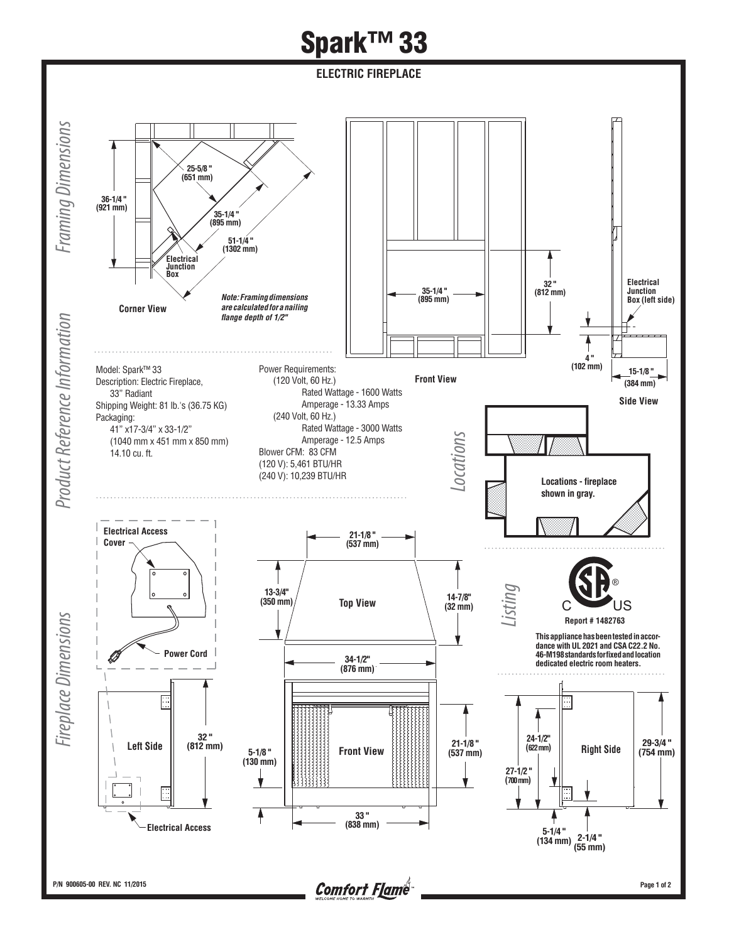## **Spark™ 33**